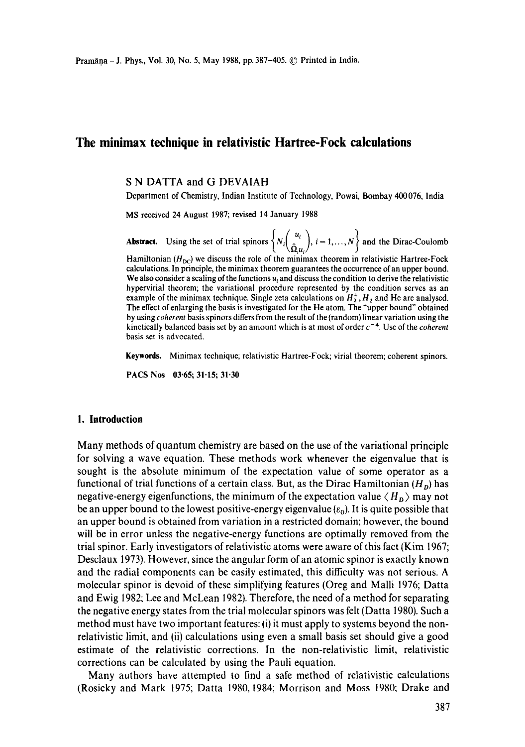# **The minimax technique in relativistic Hartree-Fock calculations**

### S N DATTA and G DEVAIAH

Department of Chemistry, Indian Institute of Technology, Powai, Bombay 400076, India

MS received 24 August 1987; revised 14 January 1988

**Abstract.** Using the set of trial spinors  $\left\{ N_i \left( \frac{\hat{\Omega}}{\hat{\Omega}, u_i} \right), i = 1, ..., N \right\}$  and the Dirac-Coulomb Hamiltonian ( $H_{DC}$ ) we discuss the role of the minimax theorem in relativistic Hartree-Fock

calculations. In principle, the minimax theorem guarantees the occurrence of an upper bound. We also consider a scaling of the functions  $u_i$  and discuss the condition to derive the relativistic hypervirial theorem; the variational procedure represented by the condition serves as an example of the minimax technique. Single zeta calculations on  $H_2^+, H_2$  and He are analysed. The effect of enlarging the basis is investigated for the He atom. The "upper bound" obtained by using *coherent* basis spinors differs from the result of the (random) linear variation using the kinetically balanced basis set by an amount which is at most of order  $c^{-4}$ . Use of the *coherent* basis set is advocated.

**Keywords.** Minimax technique; relativistic Hartree-Fock; virial theorem; coherent spinors.

**PACS Nos 03.65; 31.15; 31.30** 

### **I. Introduction**

Many methods of quantum chemistry are based on the use of the variational principle for solving a wave equation. These methods work whenever the eigenvalue that is sought is the absolute minimum of the expectation value of some operator as a functional of trial functions of a certain class. But, as the Dirac Hamiltonian *(Ho)* has negative-energy eigenfunctions, the minimum of the expectation value  $\langle H_{\nu} \rangle$  may not be an upper bound to the lowest positive-energy eigenvalue  $(\varepsilon_0)$ . It is quite possible that an upper bound is obtained from variation in a restricted domain; however, the bound will be in error unless the negative-energy functions are optimally removed from the trial spinor. Early investigators of relativistic atoms were aware of this fact (Kim 1967; Desclaux 1973). However, since the angular form of an atomic spinor is exactly known and the radial components can be easily estimated, this difficulty was not serious. A molecular spinor is devoid of these simplifying features (Oreg and Malli 1976; Datta and Ewig 1982; Lee and McLean 1982). Therefore, the need of a method for separating the negative energy states from the trial molecular spinors was felt (Datta 1980). Such a method must have two important features: {i) it must apply to systems beyond the nonrelativistic limit, and (ii) calculations using even a small basis set should give a good estimate of the relativistic corrections. In the non-relativistic limit, relativistic corrections can be calculated by using the Pauli equation.

Many authors have attempted to find a safe method of relativistic calculations (Rosicky and Mark 1975; Datta 1980, 1984; Morrison and Moss 1980: Drake and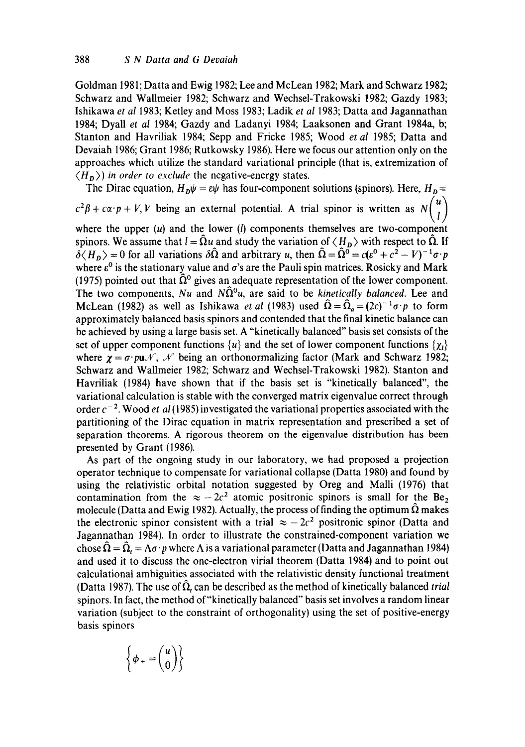Goldman 1981; Datta and Ewig 1982; Lee and McLean 1982; Mark and Schwarz 1982; Schwarz and Wallmeier 1982; Schwarz and Wechsel-Trakowski 1982; Gazdy 1983; Ishikawa *et al* 1983; Ketley and Moss 1983; Ladik *et al* 1983; Datta and Jagannathan 1984; Dyall *et al* 1984; Gazdy and Ladanyi 1984; Laaksonen and Grant 1984a, b; Stanton and Havriliak 1984; Sepp and Fricke 1985; Wood *et al* 1985; Datta and Devaiah 1986; Grant 1986; Rutkowsky 1986). Here we focus our attention only on the approaches which utilize the standard variational principle (that is, extremization of  $\langle H_{p} \rangle$  *in order to exclude* the negative-energy states.

The Dirac equation,  $H_{\text{D}}\psi = \varepsilon\psi$  has four-component solutions (spinors). Here,  $H_{\text{D}} =$  $\prime \rightarrow$  $c^2\beta + c\alpha \cdot p + V$ , *V* being an external potential. A trial spinor is written as  $N(\tilde{l})$ where the upper  $(u)$  and the lower  $(l)$  components themselves are two-component spinors. We assume that  $l = \hat{\Omega}u$  and study the variation of  $\langle H_{p} \rangle$  with respect to  $\hat{\Omega}$ . If  $\delta \langle H_p \rangle = 0$  for all variations  $\delta \hat{\Omega}$  and arbitrary u, then  $\hat{\Omega} = \hat{\Omega}^0 = c(e^0 + c^2 - V)^{-1} \sigma \cdot p$ where  $\varepsilon^0$  is the stationary value and  $\sigma$ 's are the Pauli spin matrices. Rosicky and Mark (1975) pointed out that  $\hat{\Omega}^0$  gives an adequate representation of the lower component. The two components, *Nu* and  $N\hat{\Omega}^0 u$ , are said to be *kinetically balanced*. Lee and McLean (1982) as well as Ishikawa *et al* (1983) used  $\hat{\Omega} = \hat{\Omega}_a = (2c)^{-1}\sigma \cdot p$  to form approximately balanced basis spinors and contended that the final kinetic balance can be achieved by using a large basis set. A "kinetically balanced" basis set consists of the set of upper component functions  $\{u\}$  and the set of lower component functions  $\{\chi_i\}$ where  $\gamma = \sigma \cdot \rho \mathbf{u} \mathcal{N}$ ,  $\mathcal{N}$  being an orthonormalizing factor (Mark and Schwarz 1982; Schwarz and Wallmeier 1982; Schwarz and Wechsel-Trakowski 1982). Stanton and Havriliak (1984) have shown that if the basis set is "kinetically balanced", the variational calculation is stable with the converged matrix eigenvalue correct through order  $c^{-2}$ . Wood *et al* (1985) investigated the variational properties associated with the partitioning of the Dirac equation in matrix representation and prescribed a set of separation theorems. A rigorous theorem on the eigenvalue distribution has been presented by Grant (1986).

As part of the ongoing study in our laboratory, we had proposed a projection operator technique to compensate for variational collapse (Datta 1980) and found by using the relativistic orbital notation suggested by Oreg and Malli (1976) that contamination from the  $\approx -2c^2$  atomic positronic spinors is small for the Be<sub>2</sub> molecule (Datta and Ewig 1982). Actually, the process of finding the optimum  $\Omega$  makes the electronic spinor consistent with a trial  $\approx -2c^2$  positronic spinor (Datta and Jagannathan 1984). In order to illustrate the constrained-component variation we chose  $\overline{\Omega} = \overline{\Omega}_t = \Lambda \sigma \cdot p$  where  $\Lambda$  is a variational parameter (Datta and Jagannathan 1984) and used it to discuss the one-electron virial theorem (Datta 1984) and to point out calculational ambiguities associated with the relativistic density functional treatment (Datta 1987). The use of  $\hat{\Omega}$ , can be described as the method of kinetically balanced *trial* spinors. In fact, the method of"kinetically balanced" basis set involves a random linear variation (subject to the constraint of orthogonality) using the set of positive-energy basis spinors

$$
\left\{\phi_* = \begin{pmatrix} u \\ 0 \end{pmatrix} \right\}
$$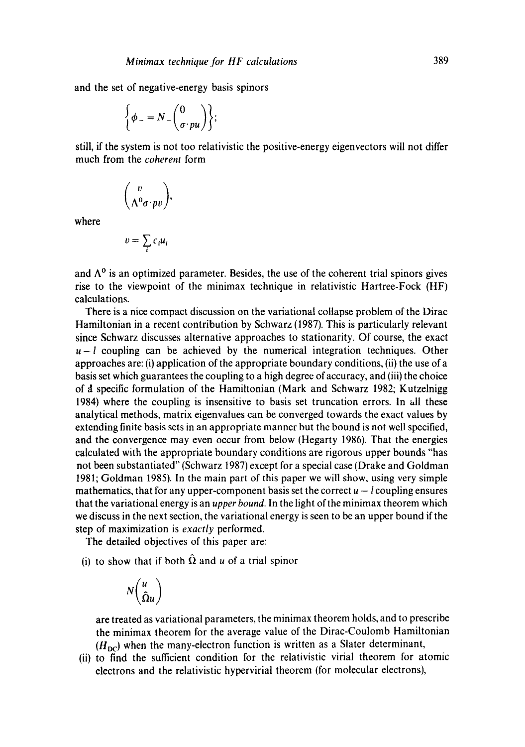and the set of negative-energy basis spinors

$$
\left\{\phi_{-}=N_{-}\binom{0}{\sigma \cdot pu}\right\};
$$

still, if the system is not too relativistic the positive-energy eigenvectors will not differ much from the *coherent* form

$$
\binom{v}{\Lambda^0\sigma\!\cdot\! p v},
$$

where

$$
v = \sum_i c_i u_i
$$

and  $\Lambda^0$  is an optimized parameter. Besides, the use of the coherent trial spinors gives rise to the viewpoint of the minimax technique in relativistic Hartree-Fock (HF) calculations.

There is a nice compact discussion on the variational collapse problem of the Dirac Hamiltonian in a recent contribution by Schwarz (1987). This is particularly relevant since Schwarz discusses alternative approaches to stationarity. Of course, the exact  $u-l$  coupling can be achieved by the numerical integration techniques. Other approaches are: (i) application of the appropriate boundary conditions, (ii) the use of a basis set which guarantees the coupling to a high degree of accuracy, and (iii) the choice of a specific formulation of the Hamiltonian (Mark and Schwarz 1982; Kutzelnigg 1984) where the coupling is insensitive to basis set truncation errors. In all these analytical methods, matrix eigenvalues can be converged towards the exact values by extending finite basis sets in an appropriate manner but the bound is not well specified, and the convergence may even occur from below (Hegarty 1986). That the energies calculated with the appropriate boundary conditions are rigorous upper bounds "has not been substantiated" (Schwarz 1987) except for a special case (Drake and Goldman 1981; Goldman 1985). In the main part of this paper we will show, using very simple mathematics, that for any upper-component basis set the correct  $u - l$  coupling ensures that the variational energy is an *upper bound.* In the light of the minimax theorem which we discuss in the next section, the variational energy is seen to be an upper bound if the step of maximization is *exactly* performed.

The detailed objectives of this paper are:

(i) to show that if both  $\Omega$  and u of a trial spinor

$$
N\binom{u}{\hat{\Omega}u}
$$

are treated as variational parameters, the minimax theorem holds, and to prescribe the minimax theorem for the average value of the Dirac-Coulomb Hamiltonian  $(H_{DC})$  when the many-electron function is written as a Slater determinant,

(ii) to find the sufficient condition for the relativistic virial theorem for atomic electrons and the relativistic hypervirial theorem (for molecular electrons),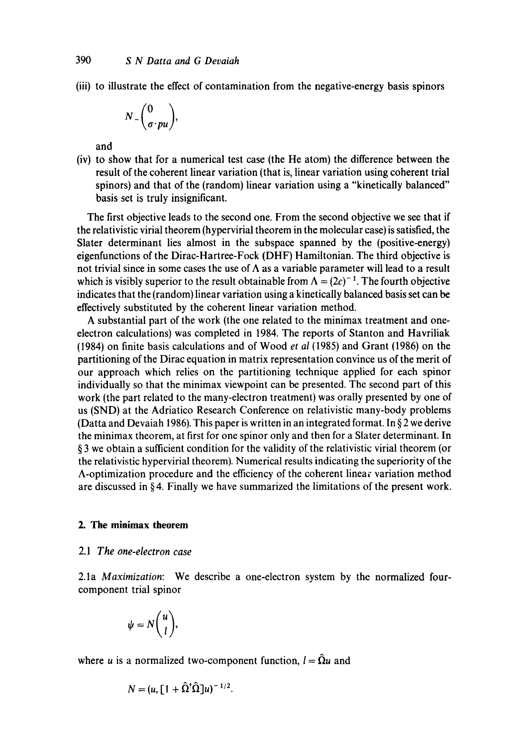(iii) to illustrate the effect of contamination from the negative-energy basis spinors

$$
N_{-}\binom{0}{\sigma \cdot pu},
$$

and

(iv) to show that for a numerical test case (the He atom) the difference between the result of the coherent linear variation (that is, linear variation using coherent trial spinors) and that of the (random) linear variation using a "kinetically balanced" basis set is truly insignificant.

The first objective leads to the second one. From the second objective we see that if the relativistic virial theorem (hypervirial theorem in the molecular case) is satisfied, the Slater determinant lies almost in the subspace spanned by the (positive-energy) eigenfunctions of the Dirac-Hartree-Fock (DHF) Hamiltonian. The third objective is not trivial since in some cases the use of  $\Lambda$  as a variable parameter will lead to a result which is visibly superior to the result obtainable from  $\Lambda = (2c)^{-1}$ . The fourth objective indicates that the (random) linear variation using a kinetically balanced basis set can be effectively substituted by the coherent linear variation method.

A substantial part of the work (the one related to the minimax treatment and oneelectron calculations) was completed in 1984. The reports of Stanton and Havriliak (1984) on finite basis calculations and of Wood *et al* (1985) and Grant (1986) on the partitioning of the Dirac equation in matrix representation convince us of the merit of our approach which relies on the partitioning technique applied for each spinor individually so that the minimax viewpoint can be presented. The second part of this work (the part related to the many-electron treatment) was orally presented by one of us (SND) at the Adriatico Research Conference on relativistic many-body problems (Datta and Devaiah 1986). This paper is written in an integrated format. In § 2 we derive the minimax theorem, at first for one spinor only and then for a Slater determinant. In § 3 we obtain a sufficient condition for the validity of the relativistic virial theorem (or the relativistic hypervirial theorem). Numerical results indicating the superiority of the A-optimization procedure and the efficiency of the coherent linear variation method are discussed in § 4. Finally we have summarized the limitations of the present work.

# **2. The minimax theorem**

#### 2.1 *The one-electron case*

2.1a *Maximization:* We describe a one-electron system by the normalized fourcomponent trial spinor

$$
\psi=N\binom{u}{l},
$$

where u is a normalized two-component function,  $l = \hat{\Omega}u$  and

$$
N = (u, \left[1 + \hat{\Omega}^\dagger \hat{\Omega}\right]u)^{-1/2}.
$$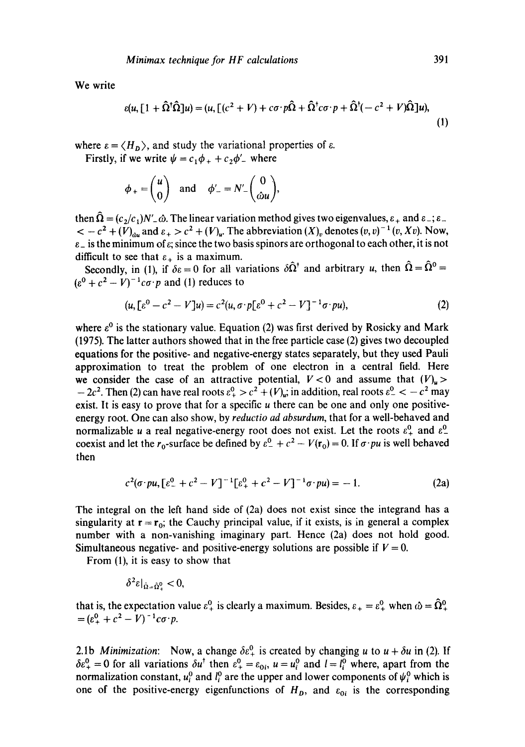We write

$$
\epsilon(u, [1 + \hat{\Omega}^{\dagger}\hat{\Omega}]u) = (u, [(c^2 + V) + c\sigma \cdot p\hat{\Omega} + \hat{\Omega}^{\dagger}c\sigma \cdot p + \hat{\Omega}^{\dagger}(-c^2 + V)\hat{\Omega}]u),
$$
\n(1)

where  $\varepsilon = \langle H_{\rm D} \rangle$ , and study the variational properties of  $\varepsilon$ .

Firstly, if we write  $\psi = c_1 \phi_+ + c_2 \phi'_-$  where

$$
\phi_+ = \begin{pmatrix} u \\ 0 \end{pmatrix}
$$
 and  $\phi'_- = N'_- \begin{pmatrix} 0 \\ \omega u \end{pmatrix}$ 

then  $\hat{\Omega} = (c_2/c_1)N'_\perp \hat{\omega}$ . The linear variation method gives two eigenvalues,  $\varepsilon_+$  and  $\varepsilon_-$ ;  $\varepsilon_ <-c^2+(V)_{\alpha u}$  and  $\varepsilon_+>c^2+(V)_{u}$ . The abbreviation  $(X)_v$  denotes  $(v, v)^{-1}(v, Xv)$ . Now,  $\varepsilon$  is the minimum of  $\varepsilon$ ; since the two basis spinors are orthogonal to each other, it is not difficult to see that  $\varepsilon_+$  is a maximum.

Secondly, in (1), if  $\delta \epsilon = 0$  for all variations  $\delta \hat{\Omega}^{\dagger}$  and arbitrary u, then  $\hat{\Omega} = \hat{\Omega}^0 =$  $(e^{0} + c^{2} - V)^{-1} c \sigma \cdot p$  and (1) reduces to

$$
(u, [\varepsilon^0 - c^2 - V]u) = c^2(u, \sigma \cdot p[\varepsilon^0 + c^2 - V]^{-1} \sigma \cdot pu), \tag{2}
$$

where  $\varepsilon^0$  is the stationary value. Equation (2) was first derived by Rosicky and Mark (1975). The latter authors showed that in the free particle case (2) gives two decoupled equations for the positive- and negative-energy states separately, but they used Pauli approximation to treat the problem of one electron in a central field. Here we consider the case of an attractive potential,  $V < 0$  and assume that  $(V)_{\mu} >$  $-2c^2$ . Then (2) can have real roots  $\varepsilon^0 + c^2 + (V)_{\omega}$ ; in addition, real roots  $\varepsilon^0 - c^2$  may exist. It is easy to prove that for a specific  $u$  there can be one and only one positiveenergy root. One can also show, by *reductio ad absurdum,* that for a well-behaved and normalizable u a real negative-energy root does not exist. Let the roots  $\varepsilon_+^0$  and  $\varepsilon_-^0$ coexist and let the  $r_0$ -surface be defined by  $\varepsilon^0$  +  $c^2$  –  $V(r_0)$  = 0. If  $\sigma \cdot pu$  is well behaved then

$$
c^{2}(\sigma \cdot pu, \lbrack \varepsilon_{+}^{0}+c^{2}-V\rbrack^{-1}\lbrack \varepsilon_{+}^{0}+c^{2}-V\rbrack^{-1}\sigma \cdot pu)=-1. \tag{2a}
$$

The integral on the left hand side of (2a) does not exist since the integrand has a singularity at  $r = r_0$ ; the Cauchy principal value, if it exists, is in general a complex number with a non-vanishing imaginary part. Hence (2a) does not hold good. Simultaneous negative- and positive-energy solutions are possible if  $V = 0$ .

From (1), it is easy to show that

$$
\delta^2 \varepsilon |_{\hat{\Omega} = \hat{\Omega}^0} < 0,
$$

that is, the expectation value  $\varepsilon_+^0$  is clearly a maximum. Besides,  $\varepsilon_+ = \varepsilon_+^0$  when  $\hat{\omega} = \hat{\Omega}_+^0$  $=(\varepsilon_+^0 + c^2 - V)^{-1} c \sigma \cdot p.$ 

2.1b *Minimization*: Now, a change  $\delta \varepsilon_+^0$  is created by changing u to  $u + \delta u$  in (2). If  $\delta \varepsilon_+^0 = 0$  for all variations  $\delta u^{\dagger}$  then  $\varepsilon_+^0 = \varepsilon_{0i}$ ,  $u = u_i^0$  and  $l = l_i^0$  where, apart from the normalization constant,  $u_i^0$  and  $l_i^0$  are the upper and lower components of  $\psi_i^0$  which is one of the positive-energy eigenfunctions of  $H_D$ , and  $\varepsilon_{0i}$  is the corresponding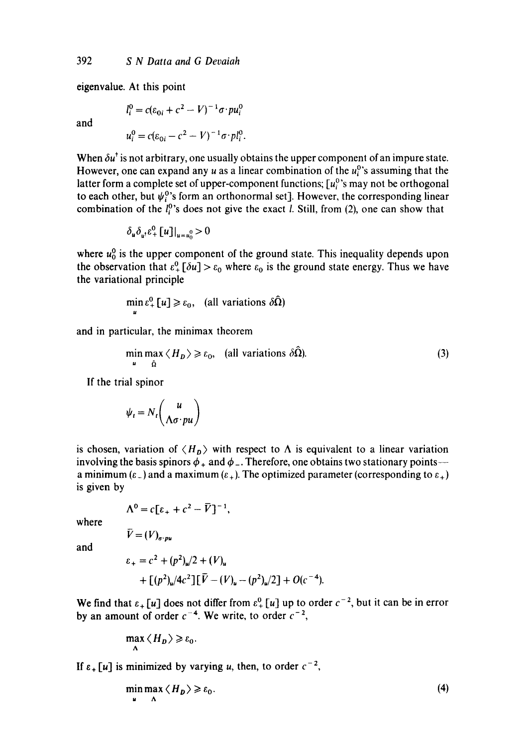eigenvalue. At this point

and

 $l_i^0 = c(\varepsilon_{0i} + c^2 - V)^{-1} \sigma \cdot pu_i^0$ 

$$
u_i^0 = c(\varepsilon_{0i} - c^2 - V)^{-1} \sigma \cdot pl_i^0.
$$

When  $\delta u^{\dagger}$  is not arbitrary, one usually obtains the upper component of an impure state. However, one can expand any u as a linear combination of the  $u_i^0$ 's assuming that the latter form a complete set of upper-component functions;  $[u_i^0]$ 's may not be orthogonal to each other, but  $\psi_i^0$ 's form an orthonormal set]. However, the corresponding linear combination of the  $l_i^0$ 's does not give the exact *l*. Still, from (2), one can show that

$$
\delta_u \delta_{u^{\dagger}} \varepsilon_+^0 [u] |_{u=u_0^0} > 0
$$

where  $u_0^0$  is the upper component of the ground state. This inequality depends upon the observation that  $\varepsilon_+^0$  [ $\delta u$ ] >  $\varepsilon_0$  where  $\varepsilon_0$  is the ground state energy. Thus we have the variational principle

$$
\min_{u} \varepsilon_{+}^{0}[u] \geq \varepsilon_{0}, \quad \text{(all variations } \delta\hat{\Omega})
$$

and in particular, the minimax theorem

$$
\min_{\mathbf{u}} \max_{\hat{\Omega}} \langle H_{\mathbf{D}} \rangle \ge \varepsilon_0, \quad \text{(all variations } \delta \hat{\Omega}). \tag{3}
$$

If the trial spinor

$$
\psi_t = N_t \binom{u}{\Lambda \sigma \cdot pu}
$$

is chosen, variation of  $\langle H_{p} \rangle$  with respect to  $\Lambda$  is equivalent to a linear variation involving the basis spinors  $\phi_+$  and  $\phi_-$ . Therefore, one obtains two stationary points-a minimum ( $\varepsilon$ ) and a maximum ( $\varepsilon$ ). The optimized parameter (corresponding to  $\varepsilon$ ) is given by

$$
\Lambda^0 = c \big[ \varepsilon_+ + c^2 - \overline{V} \big]^{-1},
$$

where

$$
V=(V)_{\sigma\cdot\mu\nu}
$$

and

$$
\varepsilon_{+} = c^{2} + (p^{2})_{\omega}/2 + (V)_{\omega}
$$
  
+ 
$$
[(p^{2})_{\omega}/4c^{2}] [\bar{V} - (V)_{\omega} - (p^{2})_{\omega}/2] + O(c^{-4}).
$$

We find that  $\varepsilon_+ [u]$  does not differ from  $\varepsilon_+^0 [u]$  up to order  $c^{-2}$ , but it can be in error by an amount of order  $c^{-4}$ . We write, to order  $c^{-2}$ ,

$$
\max_{\Lambda} \langle H_{D} \rangle \geqslant \varepsilon_{0}.
$$

If  $\varepsilon_+ [u]$  is minimized by varying u, then, to order  $c^{-2}$ ,

$$
\min_{u} \max_{\Lambda} \langle H_{D} \rangle \geqslant \varepsilon_{0}.\tag{4}
$$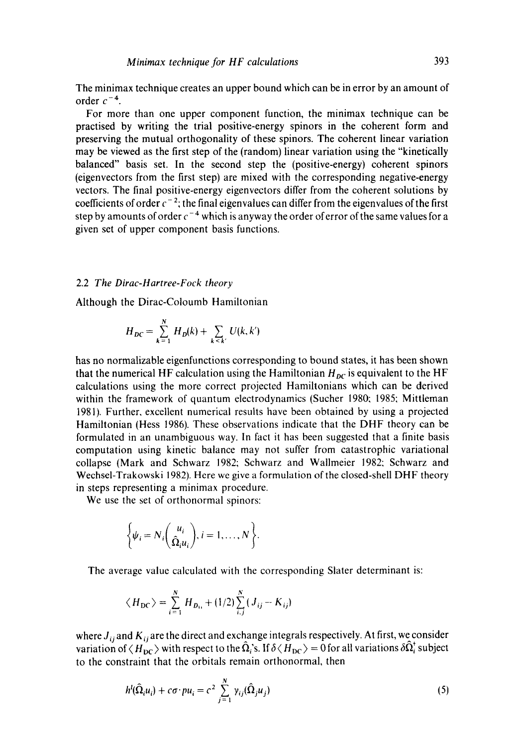The minimax technique creates an upper bound which can be in error by an amount of order  $c^{-4}$ .

For more than one upper component function, the minimax technique can be practised by writing the trial positive-energy spinors in the coherent form and preserving the mutual orthogonality of these spinors. The coherent linear variation may be viewed as the first step of the (random) linear variation using the "kinetically balanced" basis set. In the second step the (positive-energy) coherent spinors (eigenvectors from the first step) are mixed with the corresponding negative-energy vectors. The final positive-energy eigenvectors differ from the coherent solutions by coefficients of order  $c^{-2}$ ; the final eigenvalues can differ from the eigenvalues of the first step by amounts of order  $c^{-4}$  which is anyway the order of error of the same values for a given set of upper component basis functions.

### 2.2 *The Dirac-Hartree-Fock theory*

Although the Dirac-Coloumb Hamiltonian

$$
H_{DC} = \sum_{k=1}^{N} H_D(k) + \sum_{k < k'} U(k, k')
$$

has no normalizable eigenfunctions corresponding to bound states, it has been shown that the numerical HF calculation using the Hamiltonian  $H_{DC}$  is equivalent to the HF calculations using the more correct projected Hamiltonians which can be derived within the framework of quantum electrodynamics (Sucher 1980; 1985; Mittleman 1981). Further, excellent numerical results have been obtained by using a projected Hamiltonian (Hess 1986). These observations indicate that the DHF theory can be formulated in an unambiguous way. In fact it has been suggested that a finite basis computation using kinetic balance may not suffer from catastrophic variational collapse (Mark and Schwarz 1982; Schwarz and Wallmeier 1982: Schwarz and Wechsel-Trakowski 1982). Here we give a formulation of the closed-shell DHF theory in steps representing a minimax procedure.

We use the set of orthonormal spinors:

$$
\left\{\psi_i = N_i \binom{u_i}{\hat{\Omega}_i u_i}, i = 1, \dots, N\right\}.
$$

The average value calculated with the corresponding Slater determinant is:

$$
\langle H_{\rm DC} \rangle = \sum_{i=1}^{N} H_{D_{i}} + (1/2) \sum_{i,j}^{N} (J_{ij} - K_{ij})
$$

where  $J_{ij}$  and  $K_{ij}$  are the direct and exchange integrals respectively. At first, we consider variation of  $\langle H_{DC} \rangle$  with respect to the  $\hat{\Omega}_i$ 's. If  $\delta \langle H_{DC} \rangle = 0$  for all variations  $\delta \hat{\Omega}_i^{\dagger}$  subject to the constraint that the orbitals remain orthonormal, then

$$
h^{i}(\hat{\Omega}_{i}u_{i}) + c\sigma \cdot pu_{i} = c^{2} \sum_{j=1}^{N} \gamma_{ij}(\hat{\Omega}_{j}u_{j})
$$
\n
$$
(5)
$$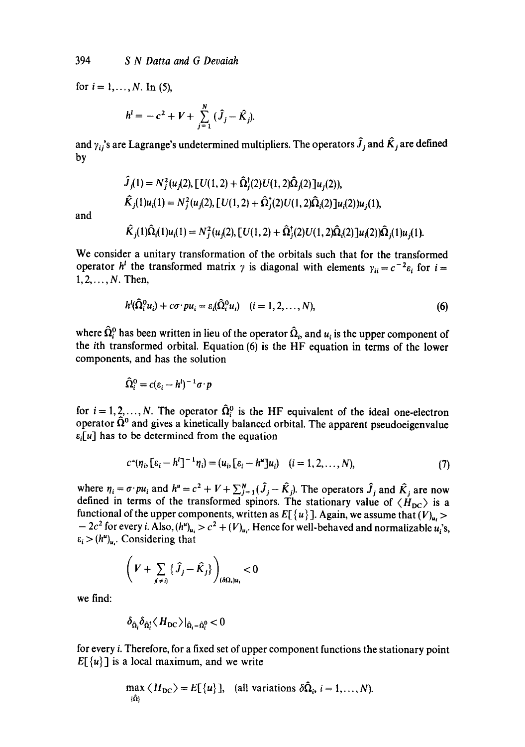for  $i = 1, ..., N$ . In (5),

$$
h^{i} = -c^{2} + V + \sum_{j=1}^{N} (\hat{J}_{j} - \hat{K}_{j}).
$$

and  $\gamma_{ij}$ 's are Lagrange's undetermined multipliers. The operators  $\hat{J}_j$  and  $\hat{K}_j$  are defined by

$$
\hat{J}_j(1) = N_j^2(u_j(2), [U(1, 2) + \hat{\Omega}_j^*(2)U(1, 2)\hat{\Omega}_j(2)]u_j(2)),
$$
  
\n
$$
\hat{K}_j(1)u_i(1) = N_j^2(u_j(2), [U(1, 2) + \hat{\Omega}_j^*(2)U(1, 2)\hat{\Omega}_i(2)]u_i(2))u_j(1),
$$
  
\n
$$
\hat{K}_j(1)\hat{\Omega}_i(1)u_i(1) = N_j^2(u_j(2), [U(1, 2) + \hat{\Omega}_j^*(2)U(1, 2)\hat{\Omega}_i(2)]u_i(2))\hat{\Omega}_j(1)u_j(1).
$$

and

We consider a unitary transformation of the orbitals such that for the transformed operator  $h^i$  the transformed matrix  $\gamma$  is diagonal with elements  $\gamma_{ii} = c^{-2} \varepsilon_i$  for  $i =$  $1, 2, \ldots, N$ . Then,

$$
h^{l}(\Omega_{i}^{0}u_{i})+c\sigma\cdot pu_{i}=\varepsilon_{i}(\Omega_{i}^{0}u_{i}) \quad (i=1,2,\ldots,N),
$$
\n(6)

where  $\hat{\Omega}_{i}^{0}$  has been written in lieu of the operator  $\hat{\Omega}_{i}$ , and  $u_{i}$  is the upper component of the ith transformed orbital. Equation (6) is the HF equation in terms of the lower components, and has the solution

$$
\widehat{\Omega}_i^0 = c(\varepsilon_i - h^i)^{-1} \sigma \cdot p
$$

for  $i = 1, 2, ..., N$ . The operator  $\hat{\Omega}_{i}^{0}$  is the HF equivalent of the ideal one-electron operator  $\hat{\Omega}^0$  and gives a kinetically balanced orbital. The apparent pseudoeigenvalue *ei[u]* has to be determined from the equation

$$
c^{(n)}(n_i, [\varepsilon_i - h']^{-1} n_i) = (u_i, [\varepsilon_i - h'']u_i) \quad (i = 1, 2, ..., N),
$$
\n(7)

where  $\eta_i = \sigma \cdot p u_i$  and  $h'' = c^2 + V + \sum_{i=1}^{N} (J_i - K_i)$ . The operators  $J_i$  and  $K_i$  are now defined in terms of the transformed spinors. The stationary value of  $\langle H_{DC} \rangle$  is a functional of the upper components, written as  $E[{u}]$ . Again, we assume that  $(V)_{u_i}$  $-2c^2$  for every i. Also,  $(h^u)_{u_i} > c^2 + (V)_{u_i}$ . Hence for well-behaved and normalizable  $u_i$ 's,  $\varepsilon_i > (h^u)_{u_i}$ . Considering that

$$
\left(V+\sum_{j\neq i}\left\{\widehat{J}_j-\widehat{K}_j\right\}\right)_{(\delta\Omega_i)u_i}<0
$$

we find:

$$
\delta_{\hat{\Omega}_i} \delta_{\hat{\Omega}_i^{\dagger}} \langle H_{\rm DC} \rangle |_{\hat{\Omega}_i = \hat{\Omega}_i^0} < 0
$$

for every i. Therefore, for a fixed set of upper component functions the stationary point  $E[\{u\}]$  is a local maximum, and we write

$$
\max_{\{\hat{\Omega}\}} \langle H_{\text{DC}} \rangle = E[\{u\}], \text{ (all variations } \delta \hat{\Omega}_i, i = 1, \dots, N).
$$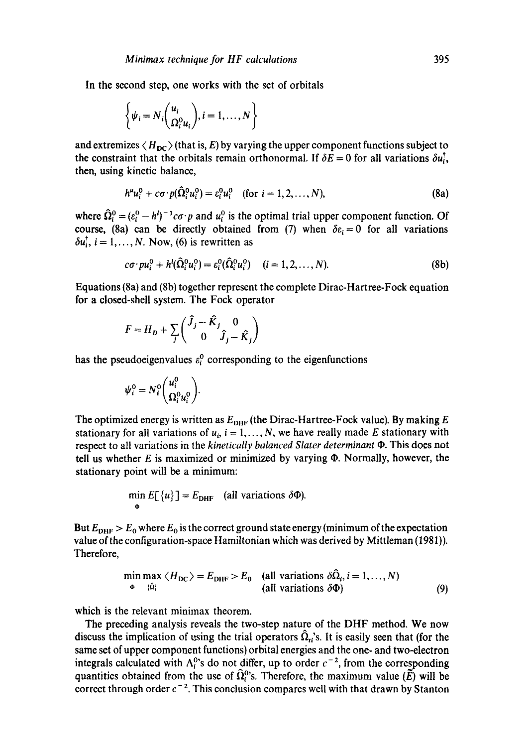In the second step, one works with the set of orbitals

$$
\left\{\psi_i = N_i \binom{u_i}{\Omega_i^0 u_i}, i = 1, \dots, N\right\}
$$

and extremizes  $\langle H_{DC} \rangle$  (that is, E) by varying the upper component functions subject to the constraint that the orbitals remain orthonormal. If  $\delta E = 0$  for all variations  $\delta u_i^{\dagger}$ , then, using kinetic balance,

$$
h^{u}u_{i}^{0} + c\sigma \cdot p(\hat{\Omega}_{i}^{0}u_{i}^{0}) = \varepsilon_{i}^{0}u_{i}^{0} \quad \text{(for } i = 1, 2, ..., N), \tag{8a}
$$

where  $\hat{\Omega}_{i}^{0} = (\varepsilon_{i}^{0} - h^{i})^{-1} c \sigma \cdot p$  and  $u_{i}^{0}$  is the optimal trial upper component function. Of course, (8a) can be directly obtained from (7) when  $\delta \varepsilon_i = 0$  for all variations  $\delta u_i^{\dagger}$ ,  $i = 1, ..., N$ . Now, (6) is rewritten as

$$
c\sigma \cdot pu_i^0 + h^l(\hat{\Omega}_i^0 u_i^0) = \varepsilon_i^0(\hat{\Omega}_i^0 u_i^0) \quad (i = 1, 2, \dots, N). \tag{8b}
$$

Equations (8a) and (8b) together represent the complete Dirac-Hartree-Fock equation for a closed-shell system. The Fock operator

$$
F = H_D + \sum_j \begin{pmatrix} \hat{J}_j - \hat{K}_j & 0 \\ 0 & \hat{J}_j - \hat{K}_j \end{pmatrix}
$$

has the pseudoeigenvalues  $\varepsilon_i^0$  corresponding to the eigenfunctions

$$
\psi_i^0 = N_i^0 \begin{pmatrix} u_i^0 \\ \Omega_i^0 u_i^0 \end{pmatrix}.
$$

The optimized energy is written as  $E_{\text{DHF}}$  (the Dirac-Hartree-Fock value). By making E stationary for all variations of  $u_i$ ,  $i = 1, ..., N$ , we have really made E stationary with respect to all variations in the *kinetically balanced Slater determinant*  $\Phi$ . This does not tell us whether  $E$  is maximized or minimized by varying  $\Phi$ . Normally, however, the stationary point will be a minimum:

$$
\min_{\Phi} E[\{u\}] = E_{\text{DHF}} \quad \text{(all variations } \delta \Phi\text{)}.
$$

But  $E_{\text{DHF}} > E_0$  where  $E_0$  is the correct ground state energy (minimum of the expectation value of the configuration-space Hamiltonian which was derived by Mittleman (1981)). Therefore,

$$
\min_{\Phi} \max_{\{\hat{\Omega}\}} \langle H_{DC} \rangle = E_{DHF} > E_0 \quad \text{(all variations } \delta \hat{\Omega}_i, i = 1, ..., N) \tag{9}
$$

which is the relevant minimax theorem.

The preceding analysis reveals the two-step nature of the DHF method. We now discuss the implication of using the trial operators  $\hat{\Omega}_{i}$ 's. It is easily seen that (for the same set of upper component functions) orbital energies and the one- and two-electron integrals calculated with  $\Lambda_i^0$ 's do not differ, up to order  $c^{-2}$ , from the corresponding quantities obtained from the use of  $\hat{\Omega}_{i}^{0}$ 's. Therefore, the maximum value (E) will be correct through order  $c^{-2}$ . This conclusion compares well with that drawn by Stanton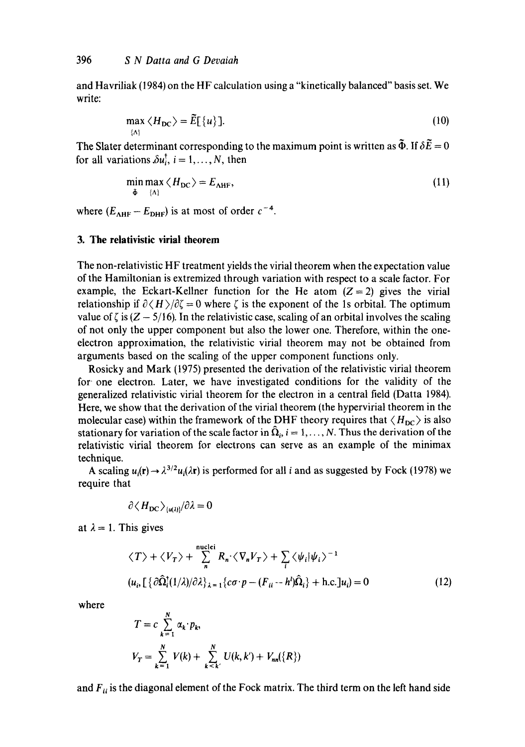and Havriliak (1984) on the HF calculation using a "kinetically balanced" basis set. We write:

$$
\max_{\{\Lambda\}} \langle H_{\rm DC} \rangle = \tilde{E}[\{u\}]. \tag{10}
$$

The Slater determinant corresponding to the maximum point is written as  $\tilde{\Phi}$ . If  $\delta \tilde{E} = 0$ for all variations  $\delta u_i^{\dagger}$ ,  $i = 1, ..., N$ , then

$$
\min_{\tilde{\Phi}} \max_{\{\Lambda\}} \langle H_{\text{DC}} \rangle = E_{\text{AHF}},\tag{11}
$$

where  $(E_{AHF} - E_{DHF})$  is at most of order  $c^{-4}$ .

# **3. The relativistic virial theorem**

The non-relativistic HF treatment yields the virial theorem when the expectation value of the Hamiltonian is extremized through variation with respect to a scale factor. For example, the Eckart-Kellner function for the He atom  $(Z = 2)$  gives the virial relationship if  $\partial \langle H \rangle / \partial \zeta = 0$  where  $\zeta$  is the exponent of the 1s orbital. The optimum value of  $\zeta$  is ( $Z - 5/16$ ). In the relativistic case, scaling of an orbital involves the scaling of not only the upper component but also the lower one. Therefore, within the oneelectron approximation, the relativistic virial theorem may not be obtained from arguments based on the scaling of the upper component functions only.

Rosicky and Mark (1975) presented the derivation of the relativistic virial theorem for' one electron. Later, we have investigated conditions for the validity of the generalized relativistic virial theorem for the electron in a central field (Datta 1984). Here, we show that the derivation of the virial theorem (the hypervirial theorem in the molecular case) within the framework of the DHF theory requires that  $\langle H_{DC} \rangle$  is also stationary for variation of the scale factor in  $\hat{\Omega}_i$ ,  $i = 1, \ldots, N$ . Thus the derivation of the relativistic virial theorem for electrons can serve as an example of the minimax technique.

A scaling  $u_i(\mathbf{r}) \rightarrow \lambda^{3/2}u_i(\lambda \mathbf{r})$  is performed for all i and as suggested by Fock (1978) we require that

$$
\partial \langle H_{\rm DC} \rangle_{\langle u(\lambda) \rangle}/\partial \lambda = 0
$$

at  $\lambda = 1$ . This gives

$$
\langle T \rangle + \langle V_T \rangle + \sum_{n}^{\text{nuclci}} R_n \cdot \langle \nabla_n V_T \rangle + \sum_{i} \langle \psi_i | \psi_i \rangle^{-1}
$$
  

$$
\langle u_i, \left[ \left\{ \partial \hat{\Omega}_i^{\dagger} (1/\lambda)/\partial \lambda \right\}_{\lambda=1}^3 \right\} \langle \sigma \cdot p - (F_{ii} - h^i) \hat{\Omega}_i \rangle + \text{h.c.} \left] u_i \right) = 0 \tag{12}
$$

where

$$
T = c \sum_{k=1}^{N} \alpha_k \cdot p_k,
$$
  

$$
V_T = \sum_{k=1}^{N} V(k) + \sum_{k \le k'}^{N} U(k, k') + V_{nn}(\lbrace R \rbrace)
$$

and  $F_{ii}$  is the diagonal element of the Fock matrix. The third term on the left hand side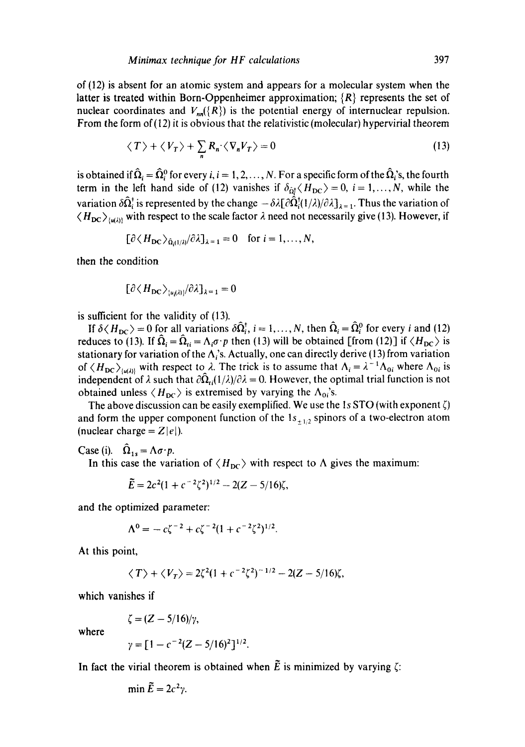of (12) is absent for an atomic system and appears for a molecular system when the latter is treated within Born-Oppenheimer approximation;  $\{R\}$  represents the set of nuclear coordinates and  $V_{nn}(\lbrace R \rbrace)$  is the potential energy of internuclear repulsion. From the form of  $(12)$  it is obvious that the relativistic (molecular) hypervirial theorem

$$
\langle T \rangle + \langle V_T \rangle + \sum_n R_n \langle \nabla_n V_T \rangle = 0 \tag{13}
$$

is obtained if  $\hat{\Omega}_i = \hat{\Omega}_i^0$  for every i,  $i = 1, 2, ..., N$ . For a specific form of the  $\hat{\Omega}_i$ 's, the fourth term in the left hand side of (12) vanishes if  $\delta_{\hat{\Omega}^{\dagger}} \langle H_{DC} \rangle = 0$ ,  $i = 1, ..., N$ , while the variation  $\delta\hat{\Omega}_{i}^{\dagger}$  is represented by the change  $-\delta\lambda[\partial\hat{\Omega}_{i}^{\dagger}(1/\lambda)/\partial\lambda]_{\lambda=1}$ . Thus the variation of  $\langle H_{\text{DC}} \rangle_{\text{L}(d\lambda)}$  with respect to the scale factor  $\lambda$  need not necessarily give (13). However, if

$$
[\partial \langle H_{\rm DC} \rangle_{\hat{\Omega}_{i}(1/\lambda)} / \partial \lambda]_{\lambda=1} = 0 \quad \text{for } i = 1, \ldots, N,
$$

then the condition

$$
[\partial \langle H_{\rm DC} \rangle_{\langle u_i(\lambda) \rangle}/\partial \lambda]_{\lambda=1} = 0
$$

is sufficient for the validity of (13).

If  $\delta \langle H_{DC} \rangle = 0$  for all variations  $\delta \hat{\Omega}_{i}^{t}$ ,  $i = 1, ..., N$ , then  $\hat{\Omega}_{i} = \hat{\Omega}_{i}^{0}$  for every i and (12) reduces to (13). If  $\hat{\Omega}_i = \hat{\Omega}_{ti} = \Lambda_i \sigma \cdot p$  then (13) will be obtained [from (12)] if  $\langle H_{DC} \rangle$  is stationary for variation of the  $\Lambda_i$ 's. Actually, one can directly derive (13) from variation of  $\langle H_{DC} \rangle_{(u(\lambda))}$  with respect to  $\lambda$ . The trick is to assume that  $\Lambda_i = \lambda^{-1}\Lambda_{0i}$  where  $\Lambda_{0i}$  is independent of  $\lambda$  such that  $\partial \Omega_{\text{rf}}(1/\lambda)/\partial \lambda = 0$ . However, the optimal trial function is not obtained unless  $\langle H_{DC} \rangle$  is extremised by varying the  $\Lambda_{0i}$ 's.

The above discussion can be easily exemplified. We use the 1s STO (with exponent  $\zeta$ ) and form the upper component function of the  $1s_{+1/2}$  spinors of a two-electron atom (nuclear charge  $= Z|e|$ ).

Case (i).  $\hat{\Omega}_{1s} = \Lambda \sigma \cdot p$ .

In this case the variation of  $\langle H_{DC} \rangle$  with respect to  $\Lambda$  gives the maximum:

$$
\widetilde{E} = 2c^2(1 + c^{-2}\zeta^2)^{1/2} - 2(Z - 5/16)\zeta,
$$

and the optimized parameter:

$$
\Lambda^{0} = -c\zeta^{-2} + c\zeta^{-2}(1 + c^{-2}\zeta^{2})^{1/2}.
$$

**At** this point,

$$
\langle T \rangle + \langle V_T \rangle = 2\zeta^2(1 + c^{-2}\zeta^2)^{-1/2} - 2(Z - 5/16)\zeta,
$$

which vanishes if

$$
\zeta=(Z-5/16)/\gamma,
$$

where

$$
\gamma = [1 - c^{-2}(Z - 5/16)^2]^{1/2}.
$$

In fact the virial theorem is obtained when  $\tilde{E}$  is minimized by varying  $\zeta$ :

$$
\min \tilde{E} = 2c^2\gamma.
$$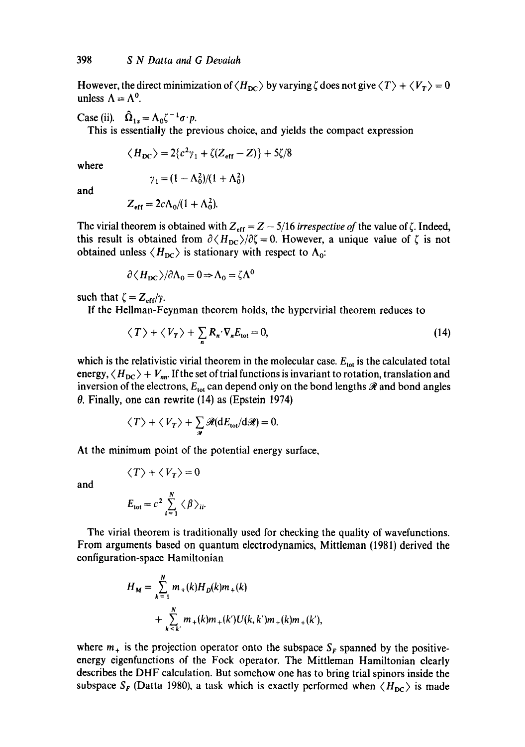However, the direct minimization of  $\langle H_{DC} \rangle$  by varying  $\zeta$  does not give  $\langle T \rangle + \langle V_T \rangle = 0$ unless  $\Lambda = \Lambda^0$ .

Case (ii).  $\hat{\Omega}_{1s} = \Lambda_0 \zeta^{-1} \sigma \cdot p$ .

This is essentially the previous choice, and yields the compact expression

$$
\langle H_{DC} \rangle = 2\{c^2\gamma_1 + \zeta(Z_{eff} - Z)\} + 5\zeta/8
$$

where

$$
\gamma_1 = (1 - \Lambda_0^2)/(1 + \Lambda_0^2)
$$

and

$$
Z_{\rm eff} = 2c\Lambda_0/(1+\Lambda_0^2).
$$

The virial theorem is obtained with  $Z_{\text{eff}} = Z - 5/16$  *irrespective of* the value of  $\zeta$ . Indeed, this result is obtained from  $\partial \langle H_{DC} \rangle / \partial \zeta = 0$ . However, a unique value of  $\zeta$  is not obtained unless  $\langle H_{\text{DC}} \rangle$  is stationary with respect to  $\Lambda_{0}$ :

$$
\partial \langle H_{\rm DC} \rangle / \partial \Lambda_0 = 0 \Rightarrow \Lambda_0 = \zeta \Lambda^0
$$

such that  $\zeta = Z_{\text{eff}}/\gamma$ .

If the Hellman-Feynman theorem holds, the hypervirial theorem reduces to

$$
\langle T \rangle + \langle V_T \rangle + \sum_n R_n \cdot \nabla_n E_{\text{tot}} = 0, \tag{14}
$$

which is the relativistic virial theorem in the molecular case.  $E_{\text{tot}}$  is the calculated total energy,  $\langle H_{DC} \rangle + V_{nn}$ . If the set of trial functions is invariant to rotation, translation and inversion of the electrons,  $E_{tot}$  can depend only on the bond lengths  $\Re$  and bond angles  $\theta$ . Finally, one can rewrite (14) as (Epstein 1974)

$$
\langle T \rangle + \langle V_T \rangle + \sum_{\mathcal{R}} \mathcal{R}(dE_{\text{tot}}/d\mathcal{R}) = 0.
$$

At the minimum point of the potential energy surface,

$$
\langle T \rangle + \langle V_T \rangle = 0
$$

and

$$
E_{\text{tot}} = c^2 \sum_{i=1}^{N} \langle \beta \rangle_{ii}
$$

The virial theorem is traditionally used for checking the quality of wavefunctions. From arguments based on quantum electrodynamics, Mittleman (1981) derived the configuration-space Hamiltonian

$$
H_M = \sum_{k=1}^{N} m_+(k)H_D(k)m_+(k)
$$
  
+ 
$$
\sum_{k=k'}^{N} m_+(k)m_+(k')U(k,k')m_+(k)m_+(k'),
$$

where  $m_+$  is the projection operator onto the subspace  $S_F$  spanned by the positiveenergy eigenfunctions of the Fock operator. The Mittleman Hamiltonian clearly describes the DHF calculation. But somehow one has to bring trial spinors inside the subspace  $S_F$  (Datta 1980), a task which is exactly performed when  $\langle H_{DC} \rangle$  is made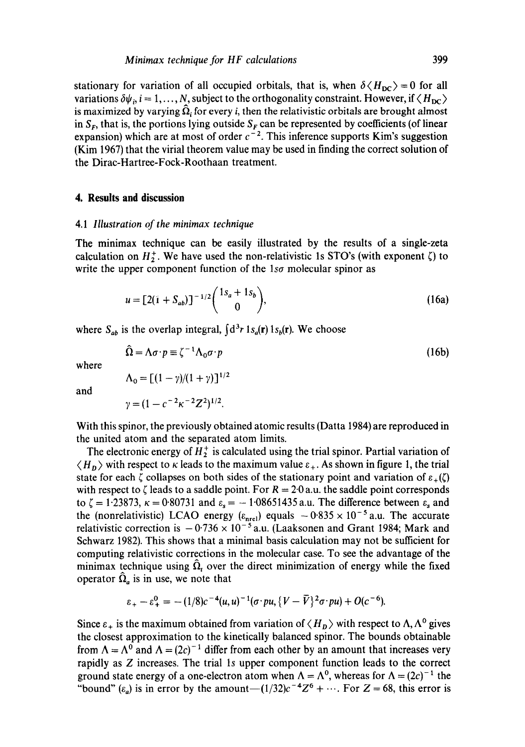stationary for variation of all occupied orbitals, that is, when  $\delta \langle H_{DC} \rangle = 0$  for all variations  $\delta\psi_i$ ,  $i = 1, ..., N$ , subject to the orthogonality constraint. However, if  $\langle H_{DC} \rangle$ is maximized by varying  $\hat{\Omega}_i$  for every *i*, then the relativistic orbitals are brought almost in  $S_F$ , that is, the portions lying outside  $S_F$  can be represented by coefficients (of linear expansion) which are at most of order  $c^{-2}$ . This inference supports Kim's suggestion (Kim 1967) that the virial theorem value may be used in finding the correct solution of the Dirac-Hartree-Fock-Roothaan treatment.

### **4. Results and discussion**

#### *4.1 Illustration of the minimax technique*

The minimax technique can be easily illustrated by the results of a single-zeta calculation on  $H_2^+$ . We have used the non-relativistic 1s STO's (with exponent  $\zeta$ ) to write the upper component function of the *lsa* molecular spinor as

$$
u = [2(i + S_{ab})]^{-1/2} {1s_a + 1s_b \choose 0},
$$
\n(16a)

where  $S_{ab}$  is the overlap integral,  $\int d^3r \, \mathbf{1}_{S_a}(\mathbf{r}) \, \mathbf{1}_{S_b}(\mathbf{r})$ . We choose

$$
\hat{\Omega} = \Lambda \sigma \cdot p \equiv \zeta^{-1} \Lambda_0 \sigma \cdot p \tag{16b}
$$

where

$$
\Lambda_0 = \left[ (1 - \gamma)/(1 + \gamma) \right]^{1/2}
$$

$$
\gamma = (1 - c^{-2} \kappa^{-2} Z^2)^{1/2}.
$$

and

With this spinor, the previously obtained atomic results (Datta 1984) are reproduced in the united atom and the separated atom limits.

The electronic energy of  $H_2^+$  is calculated using the trial spinor. Partial variation of  $\langle H_n \rangle$  with respect to  $\kappa$  leads to the maximum value  $\varepsilon_+$ . As shown in figure 1, the trial state for each  $\zeta$  collapses on both sides of the stationary point and variation of  $\varepsilon_+(\zeta)$ with respect to  $\zeta$  leads to a saddle point. For  $R = 2.0$  a.u. the saddle point corresponds to  $\zeta = 1.23873$ ,  $\kappa = 0.80731$  and  $\varepsilon_s = -1.08651435$  a.u. The difference between  $\varepsilon_s$  and the (nonrelativistic) LCAO energy  $(\varepsilon_{\text{nrel}})$  equals  $-0.835 \times 10^{-5}$  a.u. The accurate relativistic correction is  $-0.736 \times 10^{-5}$  a.u. (Laaksonen and Grant 1984; Mark and Schwarz 1982). This shows that a minimal basis calculation may not be sufficient for computing relativistic corrections in the molecular case. To see the advantage of the minimax technique using  $\hat{\Omega}_t$  over the direct minimization of energy while the fixed operator  $\hat{\Omega}_a$  is in use, we note that

$$
\varepsilon_{+} - \varepsilon_{+}^{0} = -(1/8)c^{-4}(u, u)^{-1}(\sigma \cdot pu, \{V - \bar{V}\}^{2}\sigma \cdot pu) + O(c^{-6}).
$$

Since  $\varepsilon_+$  is the maximum obtained from variation of  $\langle H_{\nu} \rangle$  with respect to  $\Lambda, \Lambda^0$  gives the closest approximation to the kinetically balanced spinor. The bounds obtainable from  $\Lambda = \Lambda^0$  and  $\Lambda = (2c)^{-1}$  differ from each other by an amount that increases very rapidly as Z increases. The trial ls upper component function leads to the correct ground state energy of a one-electron atom when  $\Lambda = \Lambda^0$ , whereas for  $\Lambda = (2c)^{-1}$  the "bound" ( $\varepsilon_a$ ) is in error by the amount $-(1/32)c^{-4}Z^6 + \cdots$ . For  $Z = 68$ , this error is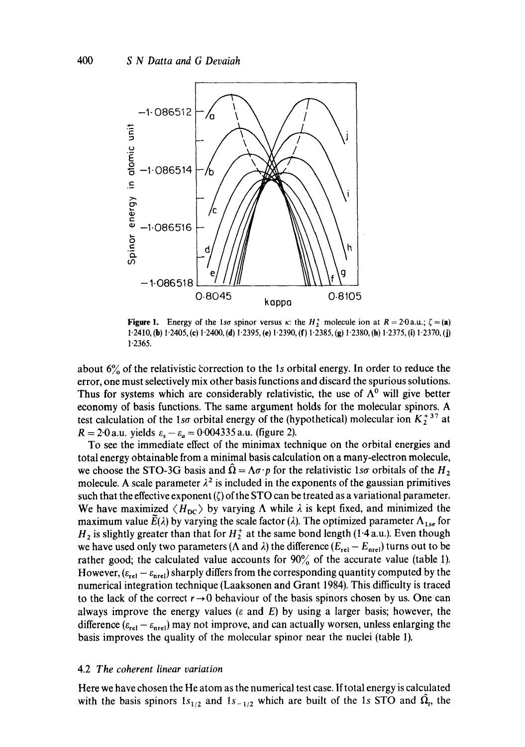

Figure 1. Energy of the *lso* spinor versus  $\kappa$ : the  $H_2^+$  molecule ion at  $R = 2.0$  a.u.;  $\zeta = (a)$ 1.2410, (b) 1"2405, (e) 1.2400, (d) 1.2395, (e) 1.2390, (f) 1.2385, (g) 1.2380, (h) 1.2375, (i) 1-2370, (J) 1-2365.

about  $6\%$  of the relativistic correction to the 1s orbital energy. In order to reduce the error, one must selectively mix other basis functions and discard the spurious solutions. Thus for systems which are considerably relativistic, the use of  $\Lambda^0$  will give better economy of basis functions. The same argument holds for the molecular spinors. A test calculation of the 1so orbital energy of the (hypothetical) molecular ion  $K_2^{+37}$  at  $R = 2.0$  a.u. yields  $\varepsilon_s - \varepsilon_a = 0.004335$  a.u. (figure 2).

To see the immediate effect of the minimax technique on the orbital energies and total energy obtainable from a minimal basis calculation on a many-electron molecule, we choose the STO-3G basis and  $\hat{\Omega} = \Lambda \sigma \cdot p$  for the relativistic 1so orbitals of the H<sub>2</sub> molecule. A scale parameter  $\lambda^2$  is included in the exponents of the gaussian primitives such that the effective exponent  $(\zeta)$  of the STO can be treated as a variational parameter. We have maximized  $\langle H_{DC} \rangle$  by varying  $\Lambda$  while  $\lambda$  is kept fixed, and minimized the maximum value  $E(\lambda)$  by varying the scale factor ( $\lambda$ ). The optimized parameter  $\Lambda_{1ss}$  for  $H_2$  is slightly greater than that for  $H_2^+$  at the same bond length (1.4 a.u.). Even though we have used only two parameters ( $\Lambda$  and  $\lambda$ ) the difference ( $E_{rel} - E_{nrel}$ ) turns out to be rather good; the calculated value accounts for 90% of the accurate value (table 1). However,  $(\varepsilon_{rel} - \varepsilon_{nrel})$  sharply differs from the corresponding quantity computed by the numerical integration technique (Laaksonen and Grant 1984). This difficulty is traced to the lack of the correct  $r \rightarrow 0$  behaviour of the basis spinors chosen by us. One can always improve the energy values ( $\varepsilon$  and  $E$ ) by using a larger basis; however, the difference  $(\varepsilon_{rel} - \varepsilon_{ner})$  may not improve, and can actually worsen, unless enlarging the basis improves the quality of the molecular spinor near the nuclei (table 1).

### 4.2 *The coherent linear variation*

Here we have chosen the He atom as the numerical test case. If total energy is calculated with the basis spinors  $1s_{1/2}$  and  $1s_{-1/2}$  which are built of the 1s STO and  $\hat{\Omega}_r$ , the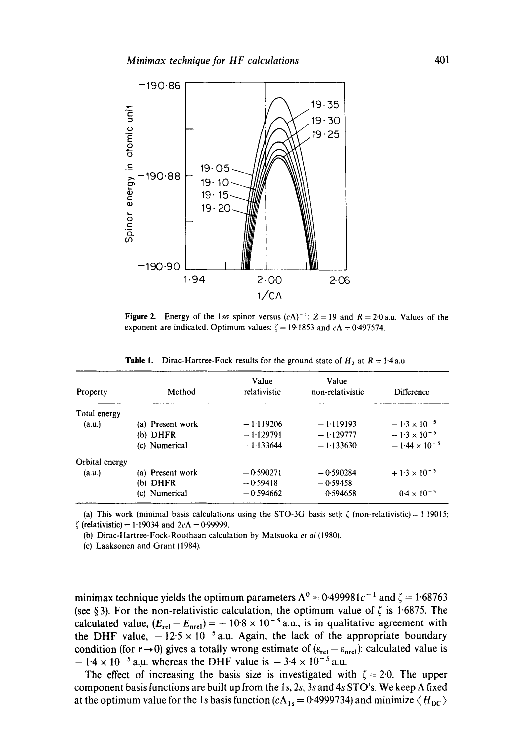

Figure 2. Energy of the 1so spinor versus  $(cA)^{-1}$ :  $Z = 19$  and  $R = 2.0$ a.u. Values of the exponent are indicated. Optimum values:  $\zeta = 19.1853$  and  $c\Lambda = 0.497574$ .

| Property       | Method           | Value<br>relativistic | Value<br>non-relativistic | Difference             |
|----------------|------------------|-----------------------|---------------------------|------------------------|
| Total energy   |                  |                       |                           |                        |
| (a.u.)         | (a) Present work | $-1.119206$           | $-1.119193$               | $-1.3 \times 10^{-5}$  |
|                | $(b)$ DHFR       | $-1.129791$           | $-1.129777$               | $-1.3 \times 10^{-5}$  |
|                | (c) Numerical    | $-1.133644$           | $-1.133630$               | $-1.44 \times 10^{-5}$ |
| Orbital energy |                  |                       |                           |                        |
| (a.u.)         | (a) Present work | $-0.590271$           | $-0.590284$               | $+1.3 \times 10^{-5}$  |
|                | (b) DHFR         | $-0.59418$            | $-0.59458$                |                        |
|                | (c) Numerical    | $-0.594662$           | $-0.594658$               | $-0.4 \times 10^{-5}$  |

**Table 1.** Dirac-Hartree-Fock results for the ground state of  $H_2$  at  $R = 1.4$ a.u.

(a) This work (minimal basis calculations using the STO-3G basis set):  $\zeta$  (non-relativistic) = 1.19015;  $\zeta$  (relativistic) = 1.19034 and 2c $\Lambda$  = 0.99999.

(b) Dirac-Hartree-Fock-Roothaan calculation by Matsuoka *et al* (1980).

(c) Laaksonen and Grant (1984).

minimax technique yields the optimum parameters  $\Lambda^0 = 0.499981c^{-1}$  and  $\zeta = 1.68763$ (see § 3). For the non-relativistic calculation, the optimum value of  $\zeta$  is 1.6875. The calculated value,  $(E_{rel} - E_{rel}) = -10.8 \times 10^{-5}$  a.u., is in qualitative agreement with the DHF value,  $-12.5 \times 10^{-5}$  a.u. Again, the lack of the appropriate boundary condition (for  $r \rightarrow 0$ ) gives a totally wrong estimate of ( $\varepsilon_{rel} - \varepsilon_{nrel}$ ): calculated value is  $-1.4 \times 10^{-5}$  a.u. whereas the DHF value is  $-3.4 \times 10^{-5}$  a.u.

The effect of increasing the basis size is investigated with  $\zeta = 2.0$ . The upper component basis functions are built up from the 1s, 2s, 3s and 4s STO's. We keep  $\Lambda$  fixed at the optimum value for the 1s basis function  $(cA_{1s} = 0.4999734)$  and minimize  $\langle H_{DC} \rangle$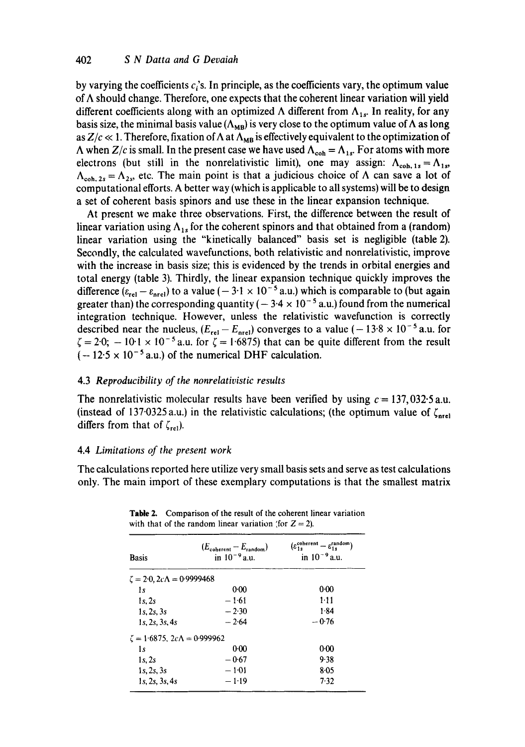by varying the coefficients  $c_i$ 's. In principle, as the coefficients vary, the optimum value of  $\Lambda$  should change. Therefore, one expects that the coherent linear variation will yield different coefficients along with an optimized  $\Lambda$  different from  $\Lambda_{1s}$ . In reality, for any basis size, the minimal basis value ( $\Lambda_{MB}$ ) is very close to the optimum value of  $\Lambda$  as long as  $Z/c \ll 1$ . Therefore, fixation of  $\Lambda$  at  $\Lambda_{MB}$  is effectively equivalent to the optimization of  $\Lambda$  when  $Z/c$  is small. In the present case we have used  $\Lambda_{coh} = \Lambda_{1s}$ . For atoms with more electrons (but still in the nonrelativistic limit), one may assign:  $\Lambda_{coh,1s} = \Lambda_{1s}$ ,  $\Lambda_{coh,2s} = \Lambda_{2s}$ , etc. The main point is that a judicious choice of  $\Lambda$  can save a lot of computational efforts. A better way (which is applicable to all systems) will be to design a set of coherent basis spinors and use these in the linear expansion technique.

At present we make three observations. First, the difference between the result of linear variation using  $\Lambda_{1s}$  for the coherent spinors and that obtained from a (random) linear variation using the "kinetically balanced" basis set is negligible (table 2). Secondly, the calculated wavefunctions, both relativistic and nonrelativistic, improve with the increase in basis size; this is evidenced by the trends in orbital energies and total energy (table 3). Thirdly, the linear expansion technique quickly improves the difference  $(\varepsilon_{rel} - \varepsilon_{\text{nrel}})$  to a value (-3.1 × 10<sup>-5</sup> a.u.) which is comparable to (but again greater than) the corresponding quantity ( $-3.4 \times 10^{-5}$  a.u.) found from the numerical integration technique. However, unless the relativistic wavefunction is correctly described near the nucleus,  $(E_{rel}- E_{ner})$  converges to a value (-13.8 x 10<sup>-5</sup> a.u. for  $\zeta = 2.0$ ;  $-10.1 \times 10^{-5}$  a.u. for  $\zeta = 1.6875$ ) that can be quite different from the result  $(-12.5 \times 10^{-5} \text{ a.u.})$  of the numerical DHF calculation.

# 4.3 *Reproducibility of the nonrelativistic results*

The nonrelativistic molecular results have been verified by using  $c = 137,032.5$  a.u. (instead of 137.0325 a.u.) in the relativistic calculations; (the optimum value of  $\zeta_{\text{net}}$ ) differs from that of  $\zeta_{rel}$ ).

# 4.4 *Limitations of the present work*

The calculations reported here utilize very small basis sets and serve as test calculations only. The main import of these exemplary computations is that the smallest matrix

| <b>Basis</b>                              | $(E_{\text{coherent}}-E_{\text{random}})$<br>in $10^{-9}$ a.u. | $(\varepsilon_{1s}^{\text{coherent}} - \varepsilon_{1s}^{\text{random}})$<br>in $10^{-9}$ a.u. |
|-------------------------------------------|----------------------------------------------------------------|------------------------------------------------------------------------------------------------|
| $\zeta = 2.0$ , $2c\Lambda = 0.9999468$   |                                                                |                                                                                                |
| 1s                                        | 0.00                                                           | 0.00                                                                                           |
| 1s.2s                                     | $-1.61$                                                        | $1 - 11$                                                                                       |
| 1s, 2s, 3s                                | $-2.30$                                                        | 1.84                                                                                           |
| 1s, 2s, 3s, 4s                            | $-2.64$                                                        | $-0.76$                                                                                        |
| $\zeta = 1.6875$ , $2c\Lambda = 0.999962$ |                                                                |                                                                                                |
| 1s                                        | 0:00                                                           | 0:00                                                                                           |
| 1s.2s                                     | $-0.67$                                                        | 9.38                                                                                           |
| 1s, 2s, 3s                                | $-1:01$                                                        | $8 - 05$                                                                                       |
| 1s, 2s, 3s, 4s                            | $-1.19$                                                        | 7.32                                                                                           |

**Table** 2. Comparison of the result of the coherent linear variation with that of the random linear variation (for  $Z = 2$ ).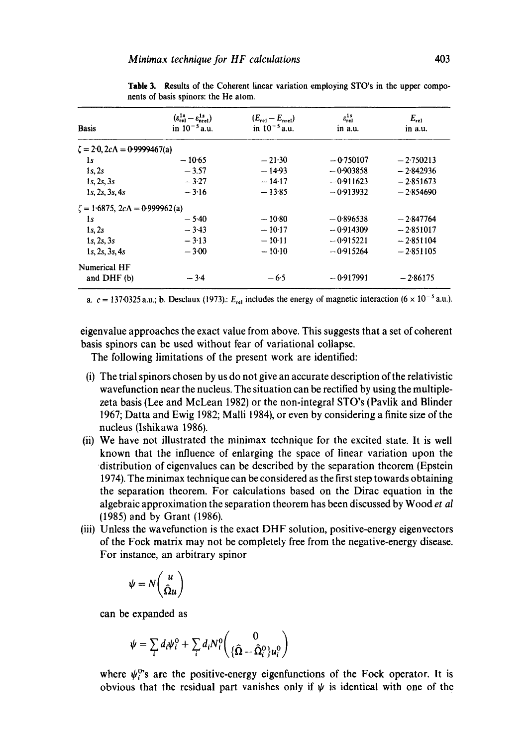| <b>Basis</b>                                  | $(\varepsilon_{\text{rel}}^{1s} - \varepsilon_{\text{net}}^{1s})$<br>in $10^{-5}$ a.u. | $(E_{\text{rel}}-E_{\text{med}})$<br>in $10^{-5}$ a.u. | $\varepsilon_{rel}^{1s}$<br>in a.u. | $E_{rel}$<br>in a.u. |
|-----------------------------------------------|----------------------------------------------------------------------------------------|--------------------------------------------------------|-------------------------------------|----------------------|
| $\zeta = 2.0$ , $2c\Lambda = 0.9999467(a)$    |                                                                                        |                                                        |                                     |                      |
| 1s                                            | $-10.65$                                                                               | $-21-30$                                               | $-0.750107$                         | $-2.750213$          |
| 1s, 2s                                        | $-3.57$                                                                                | $-14.93$                                               | $-0.903858$                         | $-2.842936$          |
| 1s, 2s, 3s                                    | $-3.27$                                                                                | $-14.17$                                               | $-0.911623$                         | $-2.851673$          |
| 1s, 2s, 3s, 4s                                | $-3.16$                                                                                | $-13.85$                                               | $-0.913932$                         | $-2.854690$          |
| $\zeta = 1.6875$ , $2c\Lambda = 0.999962$ (a) |                                                                                        |                                                        |                                     |                      |
| 1s                                            | $-5.40$                                                                                | $-10.80$                                               | $-0.896538$                         | $-2.847764$          |
| 1s.2s                                         | $-3.43$                                                                                | $-10.17$                                               | $-0.914309$                         | $-2.851017$          |
| 1s, 2s, 3s                                    | $-3.13$                                                                                | $-10-11$                                               | $-0.915221$                         | $-2.851104$          |
| 1s, 2s, 3s, 4s                                | $-3.00$                                                                                | $-10.10$                                               | $-0.915264$                         | $-2.851105$          |
| Numerical HF                                  |                                                                                        |                                                        |                                     |                      |
| and DHF (b)                                   | $-3.4$                                                                                 | $-6.5$                                                 | $-0.917991$                         | $-2.86175$           |

Table 3. Results of the Coherent linear variation employing STO's in the upper components of basis spinors: the He atom.

a.  $c = 137.0325$  a.u.; b. Desclaux (1973).:  $E_{rel}$  includes the energy of magnetic interaction (6  $\times$  10<sup>-5</sup> a.u.).

eigenvalue approaches the exact value from above. This suggests that a set of coherent basis spinors can be used without fear of variational collapse.

The following limitations of the present work are identified:

- (i) The trial spinors chosen by us do not give an accurate description of the relativistic wavefunction near the nucleus. The situation can be rectified by using the multiplezeta basis (Lee and McLean 1982) or the non-integral STO's (Pavlik and Blinder 1967; Datta and Ewig 1982; Malli 1984), or even by considering a finite size of the nucleus (Ishikawa 1986).
- (ii) We have not illustrated the minimax technique for the excited state. It is well known that the influence of enlarging the space of linear variation upon the distribution of eigenvalues can be described by the separation theorem (Epstein 1974). The minimax technique can be considered as the first step towards obtaining the separation theorem. For calculations based on the Dirac equation in the algebraic approximation the separation theorem has been discussed by Wood *et al*  (1985) and by Grant (1986).
- (iii) Unless the wavefunction is the exact DHF solution, positive-energy eigenvectors of the Fock matrix may not be completely free from the negative-energy disease. For instance, an arbitrary spinor

$$
\psi = N\binom{u}{\hat{\Omega}u}
$$

can be expanded as

$$
\psi = \sum_i d_i \psi_i^0 + \sum_i d_i N_i^0 \begin{pmatrix} 0 \\ {\{\hat{\Omega} - \hat{\Omega}_i^0\}} u_i^0 \end{pmatrix}
$$

where  $\psi_i^0$ 's are the positive-energy eigenfunctions of the Fock operator. It is obvious that the residual part vanishes only if  $\psi$  is identical with one of the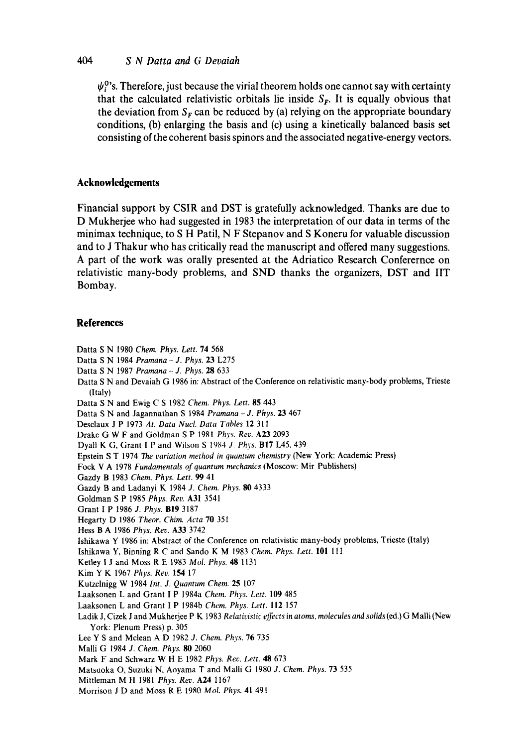## *404 S N Datta and G Devaiah*

 $\psi_i^0$ 's. Therefore, just because the virial theorem holds one cannot say with certainty that the calculated relativistic orbitals lie inside  $S_F$ . It is equally obvious that the deviation from  $S_F$  can be reduced by (a) relying on the appropriate boundary **conditions, (b) enlarging the basis and (c) using a kinetically balanced basis set consisting of the coherent basis spinors and the associated negative-energy vectors.** 

# **Acknowledgements**

**Financial support by CSIR and DST is gratefully acknowledged. Thanks are due to D Mukherjee who had suggested in 1983 the interpretation of our data in terms of the minimax technique, to S H Patil, N F Stepanov and S Koneru for valuable discussion and to J Thakur who has critically read the manuscript and offered many suggestions. A part of the work was orally presented at the Adriatico Research Conferernce on relativistic many-body problems, and SND thanks the organizers, DST and liT Bombay.** 

### **References**

- Datta S N 1980 *Chem. Phys. Lett.* 74 568
- Datta S N 1984 *Pramana J. Phys.* 23 L275
- Datta S N 1987 *Pramana J. Phys.* 28 633
- Datta S N and Devaiah G 1986 in: Abstract of the Conference on relativistic many-body **problems, Trieste**  (Italy)

Datta S N and Ewig C S 1982 *Chem. Phys. Lett.* 85 443

Datta S N and Jagannathan S 1984 *Pramana - J. Phys.* 23 467

Desclaux J P 1973 *At. Data Nucl. Data Tables* 12 311

Drake G W F and Goldman S P 1981 *Phys. Rev.* A23 2093

Dyall K G, Grant I P and Wilson S 1984 *J. Phys.* Bl7 L45, 439

Epstein S T 1974 7he *variation method in quantum chemistry* (New **York: Academic** Press)

Fock V A 1978 *Fundamentals of quantum mechanics* (Moscow: Mir Publishers)

Gazdy B 1983 *Chem. Phys, Lett. 99* 41

- Gazdy B and Ladanyi K 1984 *J. Chem. Phys. 80* 4333
- Goldman S P 1985 *Phys. Rev.* A31 3541

Grant I P 1986 *d. Phys.* BI9 3187

- Hegarty D 1986 *Theor. Chim. Acta* 70 351
- Hess B A 1986 *Phys. Rev.* A33 3742

Ishikawa Y 1986 in: Abstract of the Conference on relativistic many-body problems, Trieste (Italy)

Ishikawa Y, Binning R C and Sando K M 1983 *Chem. Phys. Lett.* 101 III

Ketley I J and Moss R E 1983 *Mol. Phys.* 48 1131

Kim Y K 1967 *Phys. Rev.* 154 17

Kutzelnigg W 1984 *Int. J. Quantum Chem.* 25 107

Laaksonen L and Grant [ P 1984a *Chem. Phys. Lett.* 109 485

- Laaksonen L and Grant I P 1984b *Chem. Phys. Lett.* 112 157
- Ladik J, Cizek J and Mukherjee P K 1983 Relativistic effects in atoms, molecules and solids (ed.) G Malli (New **York:** Plenum Press) p. 305

**Lee** Y S and Mclean A D 1982 *J. Chem. Phys.* 76 735

- Malli G 1984 *J. Chem. Phys. 80* 2060
- Mark F and Schwarz W H E 1982 *Phys. Rec. Lett. 48* 673
- Matsuoka O, Suzuki N, Aoyama T and Malli G 1980 *J. Chem. Phys.* 73 535
- Mittleman M H 1981 *Phys. Rev.* A24 1167
- **Morrison** J D and Moss R E 1980 *Mol. Phys.* 41 491